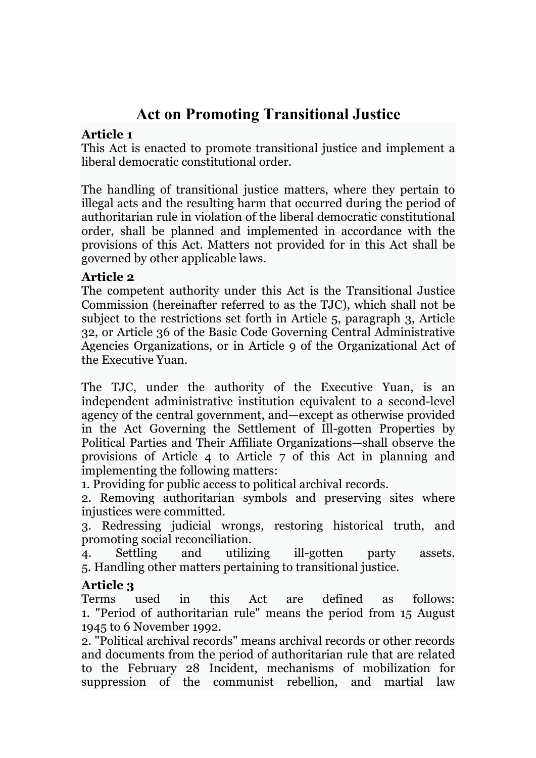# **Act on Promoting Transitional Justice**

#### **Article 1**

This Act is enacted to promote transitional justice and implement a liberal democratic constitutional order.

The handling of transitional justice matters, where they pertain to illegal acts and the resulting harm that occurred during the period of authoritarian rule in violation of the liberal democratic constitutional order, shall be planned and implemented in accordance with the provisions of this Act. Matters not provided for in this Act shall be governed by other applicable laws.

#### **Article 2**

The competent authority under this Act is the Transitional Justice Commission (hereinafter referred to as the TJC), which shall not be subject to the restrictions set forth in Article 5, paragraph 3, Article 32, or Article 36 of the Basic Code Governing Central Administrative Agencies Organizations, or in Article 9 of the Organizational Act of the Executive Yuan.

The TJC, under the authority of the Executive Yuan, is an independent administrative institution equivalent to a second-level agency of the central government, and—except as otherwise provided in the Act Governing the Settlement of Ill-gotten Properties by Political Parties and Their Affiliate Organizations—shall observe the provisions of Article 4 to Article 7 of this Act in planning and implementing the following matters:

1. Providing for public access to political archival records.

2. Removing authoritarian symbols and preserving sites where injustices were committed.

3. Redressing judicial wrongs, restoring historical truth, and promoting social reconciliation.

4. Settling and utilizing ill-gotten party assets. 5. Handling other matters pertaining to transitional justice.

## **Article 3**

Terms used in this Act are defined as follows: 1. "Period of authoritarian rule" means the period from 15 August 1945 to 6 November 1992.

2. "Political archival records" means archival records or other records and documents from the period of authoritarian rule that are related to the February 28 Incident, mechanisms of mobilization for suppression of the communist rebellion, and martial law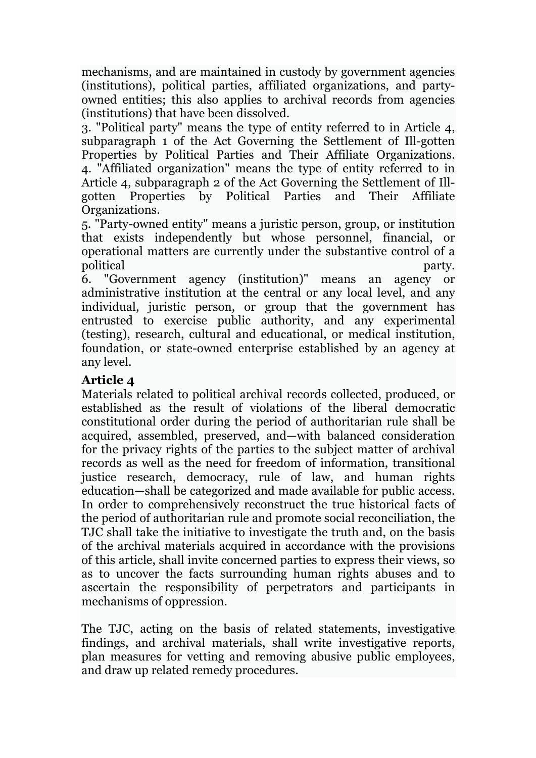mechanisms, and are maintained in custody by government agencies (institutions), political parties, affiliated organizations, and partyowned entities; this also applies to archival records from agencies (institutions) that have been dissolved.

3. "Political party" means the type of entity referred to in Article 4, subparagraph 1 of the Act Governing the Settlement of Ill-gotten Properties by Political Parties and Their Affiliate Organizations. 4. "Affiliated organization" means the type of entity referred to in Article 4, subparagraph 2 of the Act Governing the Settlement of Illgotten Properties by Political Parties and Their Affiliate Organizations.

5. "Party-owned entity" means a juristic person, group, or institution that exists independently but whose personnel, financial, or operational matters are currently under the substantive control of a political party.

6. "Government agency (institution)" means an agency or administrative institution at the central or any local level, and any individual, juristic person, or group that the government has entrusted to exercise public authority, and any experimental (testing), research, cultural and educational, or medical institution, foundation, or state-owned enterprise established by an agency at any level.

#### **Article 4**

Materials related to political archival records collected, produced, or established as the result of violations of the liberal democratic constitutional order during the period of authoritarian rule shall be acquired, assembled, preserved, and—with balanced consideration for the privacy rights of the parties to the subject matter of archival records as well as the need for freedom of information, transitional justice research, democracy, rule of law, and human rights education—shall be categorized and made available for public access. In order to comprehensively reconstruct the true historical facts of the period of authoritarian rule and promote social reconciliation, the TJC shall take the initiative to investigate the truth and, on the basis of the archival materials acquired in accordance with the provisions of this article, shall invite concerned parties to express their views, so as to uncover the facts surrounding human rights abuses and to ascertain the responsibility of perpetrators and participants in mechanisms of oppression.

The TJC, acting on the basis of related statements, investigative findings, and archival materials, shall write investigative reports, plan measures for vetting and removing abusive public employees, and draw up related remedy procedures.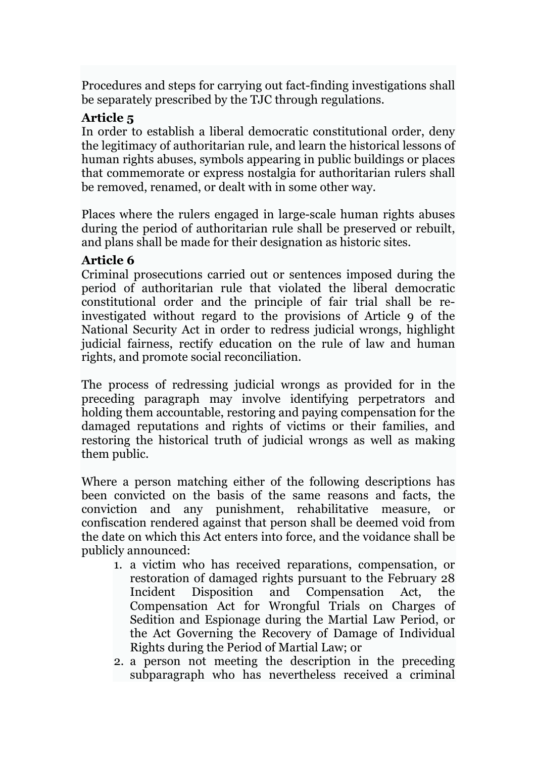Procedures and steps for carrying out fact-finding investigations shall be separately prescribed by the TJC through regulations.

## **Article 5**

In order to establish a liberal democratic constitutional order, deny the legitimacy of authoritarian rule, and learn the historical lessons of human rights abuses, symbols appearing in public buildings or places that commemorate or express nostalgia for authoritarian rulers shall be removed, renamed, or dealt with in some other way.

Places where the rulers engaged in large-scale human rights abuses during the period of authoritarian rule shall be preserved or rebuilt, and plans shall be made for their designation as historic sites.

## **Article 6**

Criminal prosecutions carried out or sentences imposed during the period of authoritarian rule that violated the liberal democratic constitutional order and the principle of fair trial shall be reinvestigated without regard to the provisions of Article 9 of the National Security Act in order to redress judicial wrongs, highlight judicial fairness, rectify education on the rule of law and human rights, and promote social reconciliation.

The process of redressing judicial wrongs as provided for in the preceding paragraph may involve identifying perpetrators and holding them accountable, restoring and paying compensation for the damaged reputations and rights of victims or their families, and restoring the historical truth of judicial wrongs as well as making them public.

Where a person matching either of the following descriptions has been convicted on the basis of the same reasons and facts, the conviction and any punishment, rehabilitative measure, or confiscation rendered against that person shall be deemed void from the date on which this Act enters into force, and the voidance shall be publicly announced:

- 1. a victim who has received reparations, compensation, or restoration of damaged rights pursuant to the February 28 Incident Disposition and Compensation Act, the Compensation Act for Wrongful Trials on Charges of Sedition and Espionage during the Martial Law Period, or the Act Governing the Recovery of Damage of Individual Rights during the Period of Martial Law; or
- 2. a person not meeting the description in the preceding subparagraph who has nevertheless received a criminal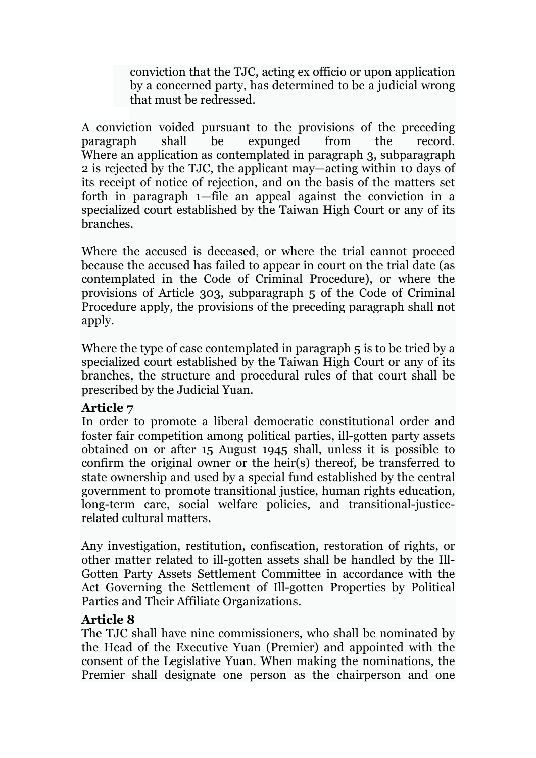conviction that the TJC, acting ex officio or upon application by a concerned party, has determined to be a judicial wrong that must be redressed.

A conviction voided pursuant to the provisions of the preceding paragraph shall be expunged from the record. Where an application as contemplated in paragraph 3, subparagraph 2 is rejected by the TJC, the applicant may—acting within 10 days of its receipt of notice of rejection, and on the basis of the matters set forth in paragraph 1—file an appeal against the conviction in a specialized court established by the Taiwan High Court or any of its branches.

Where the accused is deceased, or where the trial cannot proceed because the accused has failed to appear in court on the trial date (as contemplated in the Code of Criminal Procedure), or where the provisions of Article 303, subparagraph 5 of the Code of Criminal Procedure apply, the provisions of the preceding paragraph shall not apply.

Where the type of case contemplated in paragraph 5 is to be tried by a specialized court established by the Taiwan High Court or any of its branches, the structure and procedural rules of that court shall be prescribed by the Judicial Yuan.

#### **Article 7**

In order to promote a liberal democratic constitutional order and foster fair competition among political parties, ill-gotten party assets obtained on or after 15 August 1945 shall, unless it is possible to confirm the original owner or the heir(s) thereof, be transferred to state ownership and used by a special fund established by the central government to promote transitional justice, human rights education, long-term care, social welfare policies, and transitional-justicerelated cultural matters.

Any investigation, restitution, confiscation, restoration of rights, or other matter related to ill-gotten assets shall be handled by the Ill-Gotten Party Assets Settlement Committee in accordance with the Act Governing the Settlement of Ill-gotten Properties by Political Parties and Their Affiliate Organizations.

#### **Article 8**

The TJC shall have nine commissioners, who shall be nominated by the Head of the Executive Yuan (Premier) and appointed with the consent of the Legislative Yuan. When making the nominations, the Premier shall designate one person as the chairperson and one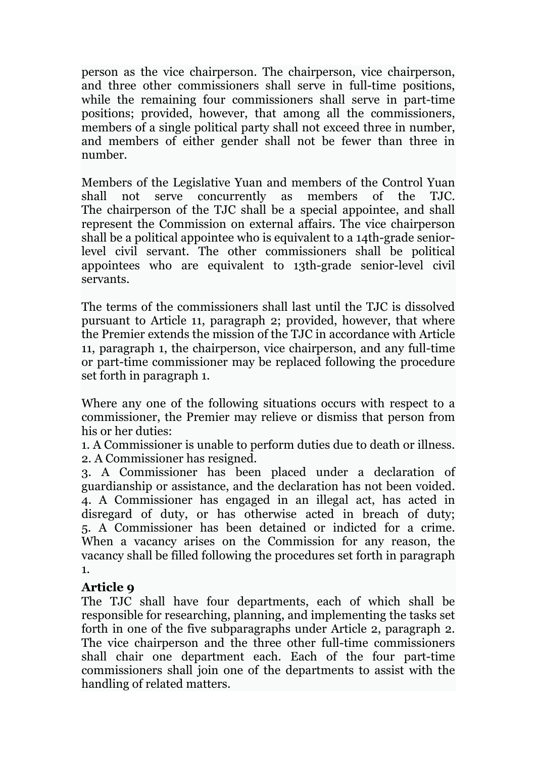person as the vice chairperson. The chairperson, vice chairperson, and three other commissioners shall serve in full-time positions, while the remaining four commissioners shall serve in part-time positions; provided, however, that among all the commissioners, members of a single political party shall not exceed three in number, and members of either gender shall not be fewer than three in number.

Members of the Legislative Yuan and members of the Control Yuan shall not serve concurrently as members of the TJC. The chairperson of the TJC shall be a special appointee, and shall represent the Commission on external affairs. The vice chairperson shall be a political appointee who is equivalent to a 14th-grade seniorlevel civil servant. The other commissioners shall be political appointees who are equivalent to 13th-grade senior-level civil servants.

The terms of the commissioners shall last until the TJC is dissolved pursuant to Article 11, paragraph 2; provided, however, that where the Premier extends the mission of the TJC in accordance with Article 11, paragraph 1, the chairperson, vice chairperson, and any full-time or part-time commissioner may be replaced following the procedure set forth in paragraph 1.

Where any one of the following situations occurs with respect to a commissioner, the Premier may relieve or dismiss that person from his or her duties:

1. A Commissioner is unable to perform duties due to death or illness. 2. A Commissioner has resigned.

3. A Commissioner has been placed under a declaration of guardianship or assistance, and the declaration has not been voided. 4. A Commissioner has engaged in an illegal act, has acted in disregard of duty, or has otherwise acted in breach of duty; 5. A Commissioner has been detained or indicted for a crime. When a vacancy arises on the Commission for any reason, the vacancy shall be filled following the procedures set forth in paragraph 1.

## **Article 9**

The TJC shall have four departments, each of which shall be responsible for researching, planning, and implementing the tasks set forth in one of the five subparagraphs under Article 2, paragraph 2. The vice chairperson and the three other full-time commissioners shall chair one department each. Each of the four part-time commissioners shall join one of the departments to assist with the handling of related matters.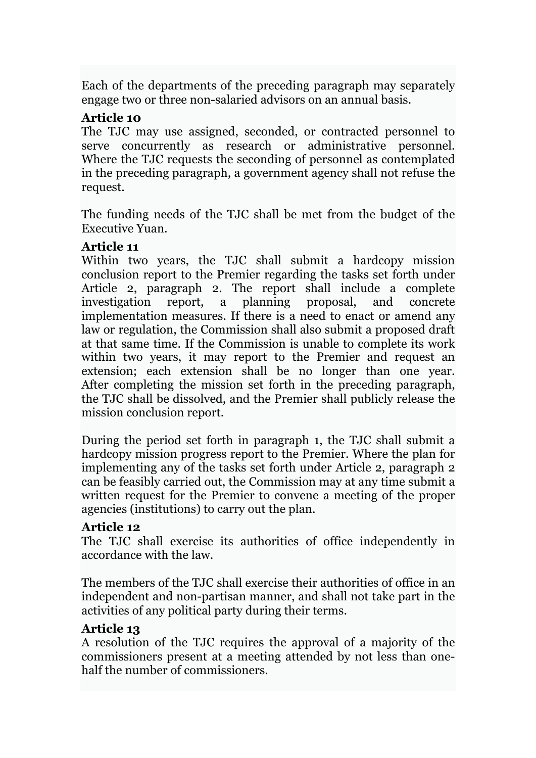Each of the departments of the preceding paragraph may separately engage two or three non-salaried advisors on an annual basis.

#### **Article 10**

The TJC may use assigned, seconded, or contracted personnel to serve concurrently as research or administrative personnel. Where the TJC requests the seconding of personnel as contemplated in the preceding paragraph, a government agency shall not refuse the request.

The funding needs of the TJC shall be met from the budget of the Executive Yuan.

## **Article 11**

Within two years, the TJC shall submit a hardcopy mission conclusion report to the Premier regarding the tasks set forth under Article 2, paragraph 2. The report shall include a complete investigation report, a planning proposal, and concrete implementation measures. If there is a need to enact or amend any law or regulation, the Commission shall also submit a proposed draft at that same time. If the Commission is unable to complete its work within two years, it may report to the Premier and request an extension; each extension shall be no longer than one year. After completing the mission set forth in the preceding paragraph, the TJC shall be dissolved, and the Premier shall publicly release the mission conclusion report.

During the period set forth in paragraph 1, the TJC shall submit a hardcopy mission progress report to the Premier. Where the plan for implementing any of the tasks set forth under Article 2, paragraph 2 can be feasibly carried out, the Commission may at any time submit a written request for the Premier to convene a meeting of the proper agencies (institutions) to carry out the plan.

## **Article 12**

The TJC shall exercise its authorities of office independently in accordance with the law.

The members of the TJC shall exercise their authorities of office in an independent and non-partisan manner, and shall not take part in the activities of any political party during their terms.

## **Article 13**

A resolution of the TJC requires the approval of a majority of the commissioners present at a meeting attended by not less than onehalf the number of commissioners.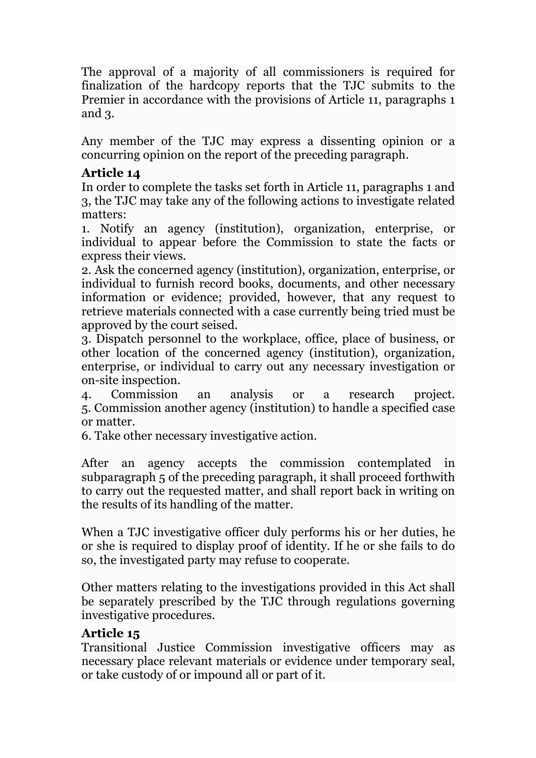The approval of a majority of all commissioners is required for finalization of the hardcopy reports that the TJC submits to the Premier in accordance with the provisions of Article 11, paragraphs 1 and 3.

Any member of the TJC may express a dissenting opinion or a concurring opinion on the report of the preceding paragraph.

## **Article 14**

In order to complete the tasks set forth in Article 11, paragraphs 1 and 3, the TJC may take any of the following actions to investigate related matters:

1. Notify an agency (institution), organization, enterprise, or individual to appear before the Commission to state the facts or express their views.

2. Ask the concerned agency (institution), organization, enterprise, or individual to furnish record books, documents, and other necessary information or evidence; provided, however, that any request to retrieve materials connected with a case currently being tried must be approved by the court seised.

3. Dispatch personnel to the workplace, office, place of business, or other location of the concerned agency (institution), organization, enterprise, or individual to carry out any necessary investigation or on-site inspection.

4. Commission an analysis or a research project. 5. Commission another agency (institution) to handle a specified case or matter.

6. Take other necessary investigative action.

After an agency accepts the commission contemplated in subparagraph 5 of the preceding paragraph, it shall proceed forthwith to carry out the requested matter, and shall report back in writing on the results of its handling of the matter.

When a TJC investigative officer duly performs his or her duties, he or she is required to display proof of identity. If he or she fails to do so, the investigated party may refuse to cooperate.

Other matters relating to the investigations provided in this Act shall be separately prescribed by the TJC through regulations governing investigative procedures.

# **Article 15**

Transitional Justice Commission investigative officers may as necessary place relevant materials or evidence under temporary seal, or take custody of or impound all or part of it.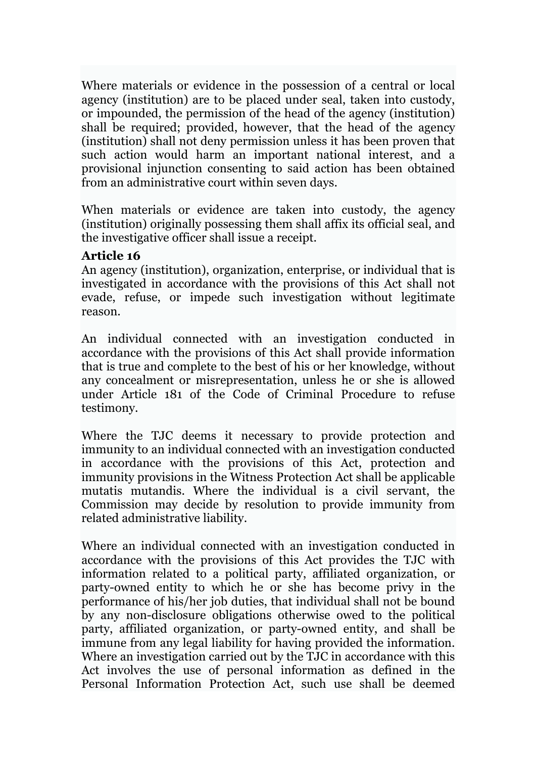Where materials or evidence in the possession of a central or local agency (institution) are to be placed under seal, taken into custody, or impounded, the permission of the head of the agency (institution) shall be required; provided, however, that the head of the agency (institution) shall not deny permission unless it has been proven that such action would harm an important national interest, and a provisional injunction consenting to said action has been obtained from an administrative court within seven days.

When materials or evidence are taken into custody, the agency (institution) originally possessing them shall affix its official seal, and the investigative officer shall issue a receipt.

#### **Article 16**

An agency (institution), organization, enterprise, or individual that is investigated in accordance with the provisions of this Act shall not evade, refuse, or impede such investigation without legitimate reason.

An individual connected with an investigation conducted in accordance with the provisions of this Act shall provide information that is true and complete to the best of his or her knowledge, without any concealment or misrepresentation, unless he or she is allowed under Article 181 of the Code of Criminal Procedure to refuse testimony.

Where the TJC deems it necessary to provide protection and immunity to an individual connected with an investigation conducted in accordance with the provisions of this Act, protection and immunity provisions in the Witness Protection Act shall be applicable mutatis mutandis. Where the individual is a civil servant, the Commission may decide by resolution to provide immunity from related administrative liability.

Where an individual connected with an investigation conducted in accordance with the provisions of this Act provides the TJC with information related to a political party, affiliated organization, or party-owned entity to which he or she has become privy in the performance of his/her job duties, that individual shall not be bound by any non-disclosure obligations otherwise owed to the political party, affiliated organization, or party-owned entity, and shall be immune from any legal liability for having provided the information. Where an investigation carried out by the TJC in accordance with this Act involves the use of personal information as defined in the Personal Information Protection Act, such use shall be deemed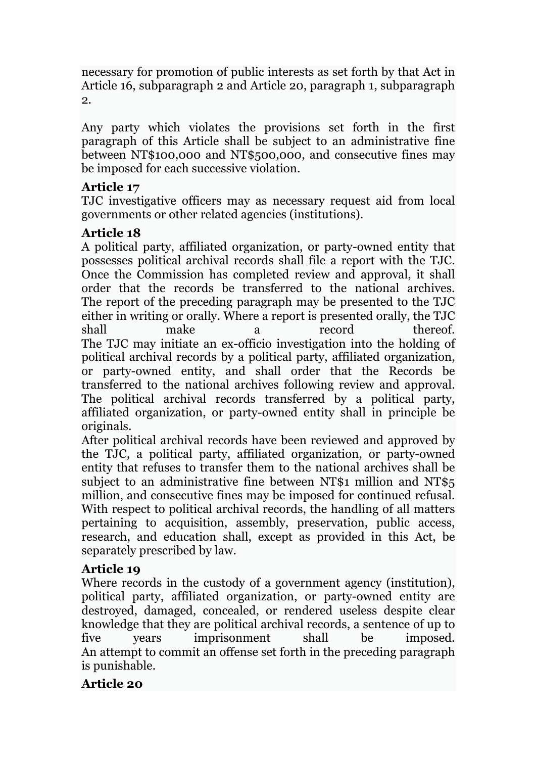necessary for promotion of public interests as set forth by that Act in Article 16, subparagraph 2 and Article 20, paragraph 1, subparagraph 2.

Any party which violates the provisions set forth in the first paragraph of this Article shall be subject to an administrative fine between NT\$100,000 and NT\$500,000, and consecutive fines may be imposed for each successive violation.

# **Article 17**

TJC investigative officers may as necessary request aid from local governments or other related agencies (institutions).

## **Article 18**

A political party, affiliated organization, or party-owned entity that possesses political archival records shall file a report with the TJC. Once the Commission has completed review and approval, it shall order that the records be transferred to the national archives. The report of the preceding paragraph may be presented to the TJC either in writing or orally. Where a report is presented orally, the TJC shall make a record thereof. The TJC may initiate an ex-officio investigation into the holding of political archival records by a political party, affiliated organization, or party-owned entity, and shall order that the Records be transferred to the national archives following review and approval. The political archival records transferred by a political party, affiliated organization, or party-owned entity shall in principle be originals.

After political archival records have been reviewed and approved by the TJC, a political party, affiliated organization, or party-owned entity that refuses to transfer them to the national archives shall be subject to an administrative fine between NT\$1 million and NT\$5 million, and consecutive fines may be imposed for continued refusal. With respect to political archival records, the handling of all matters pertaining to acquisition, assembly, preservation, public access, research, and education shall, except as provided in this Act, be separately prescribed by law.

## **Article 19**

Where records in the custody of a government agency (institution), political party, affiliated organization, or party-owned entity are destroyed, damaged, concealed, or rendered useless despite clear knowledge that they are political archival records, a sentence of up to five years imprisonment shall be imposed. An attempt to commit an offense set forth in the preceding paragraph is punishable.

# **Article 20**